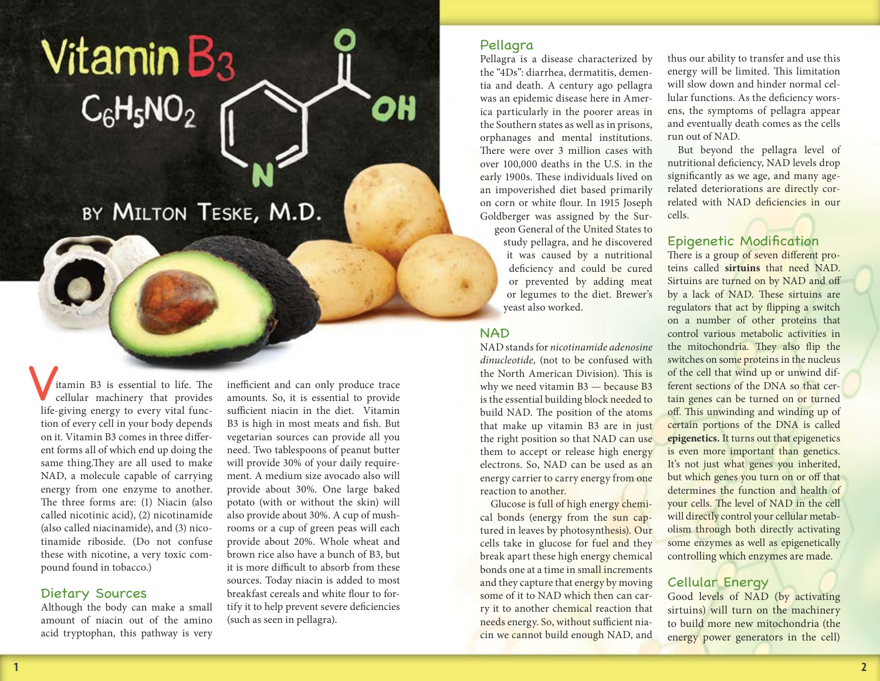# Vitamin  $B_3$  $C_6H_5NO_2$ OН

# BY MILTON TESKE, M.D.

itamin B3 is essential to life. The cellular machinery that provides **V** itamin B3 is essential to life. The cellular machinery that provides life-giving energy to every vital function of every cell in your body depends on it. Vitamin B3 comes in three different forms all of which end up doing the same thing.They are all used to make NAD, a molecule capable of carrying energy from one enzyme to another. The three forms are: (1) Niacin (also called nicotinic acid), (2) nicotinamide (also called niacinamide), and (3) nicotinamide riboside. (Do not confuse these with nicotine, a very toxic compound found in tobacco.)

# Dietary Sources

Although the body can make a small amount of niacin out of the amino acid tryptophan, this pathway is very inefficient and can only produce trace amounts. So, it is essential to provide sufficient niacin in the diet. Vitamin B3 is high in most meats and fish. But vegetarian sources can provide all you need. Two tablespoons of peanut butter will provide 30% of your daily requirement. A medium size avocado also will provide about 30%. One large baked potato (with or without the skin) will also provide about 30%. A cup of mushrooms or a cup of green peas will each provide about 20%. Whole wheat and brown rice also have a bunch of B3, but it is more difficult to absorb from these sources. Today niacin is added to most breakfast cereals and white flour to fortify it to help prevent severe deficiencies (such as seen in pellagra).

### Pellagra

Pellagra is a disease characterized by the "4Ds": diarrhea, dermatitis, dementia and death. A century ago pellagra was an epidemic disease here in America particularly in the poorer areas in the Southern states as well as in prisons, orphanages and mental institutions. There were over 3 million cases with over 100,000 deaths in the U.S. in the early 1900s. These individuals lived on an impoverished diet based primarily on corn or white flour. In 1915 Joseph Goldberger was assigned by the Surgeon General of the United States to

> study pellagra, and he discovered it was caused by a nutritional deficiency and could be cured or prevented by adding meat or legumes to the diet. Brewer's yeast also worked.

#### **NAD**

NAD stands for *nicotinamide adenosine dinucleotide,* (not to be confused with the North American Division). This is why we need vitamin B3 — because B3 is the essential building block needed to build NAD. The position of the atoms that make up vitamin B3 are in just the right position so that NAD can use them to accept or release high energy electrons. So, NAD can be used as an energy carrier to carry energy from one reaction to another.

Glucose is full of high energy chemical bonds (energy from the sun captured in leaves by photosynthesis). Our cells take in glucose for fuel and they break apart these high energy chemical bonds one at a time in small increments and they capture that energy by moving some of it to NAD which then can carry it to another chemical reaction that needs energy. So, without sufficient niacin we cannot build enough NAD, and

thus our ability to transfer and use this energy will be limited. This limitation will slow down and hinder normal cellular functions. As the deficiency worsens, the symptoms of pellagra appear and eventually death comes as the cells run out of NAD.

But beyond the pellagra level of nutritional deficiency, NAD levels drop significantly as we age, and many agerelated deteriorations are directly correlated with NAD deficiencies in our cells.

# Epigenetic Modification

There is a group of seven different proteins called **sirtuins** that need NAD. Sirtuins are turned on by NAD and off by a lack of NAD. These sirtuins are regulators that act by flipping a switch on a number of other proteins that control various metabolic activities in the mitochondria. They also flip the switches on some proteins in the nucleus of the cell that wind up or unwind different sections of the DNA so that certain genes can be turned on or turned off. This unwinding and winding up of certain portions of the DNA is called **epigenetics.** It turns out that epigenetics is even more important than genetics. It's not just what genes you inherited, but which genes you turn on or off that determines the function and health of your cells. The level of NAD in the cell will directly control your cellular metabolism through both directly activating some enzymes as well as epigenetically controlling which enzymes are made.

## Cellular Energy

Good levels of NAD (by activating sirtuins) will turn on the machinery to build more new mitochondria (the energy power generators in the cell)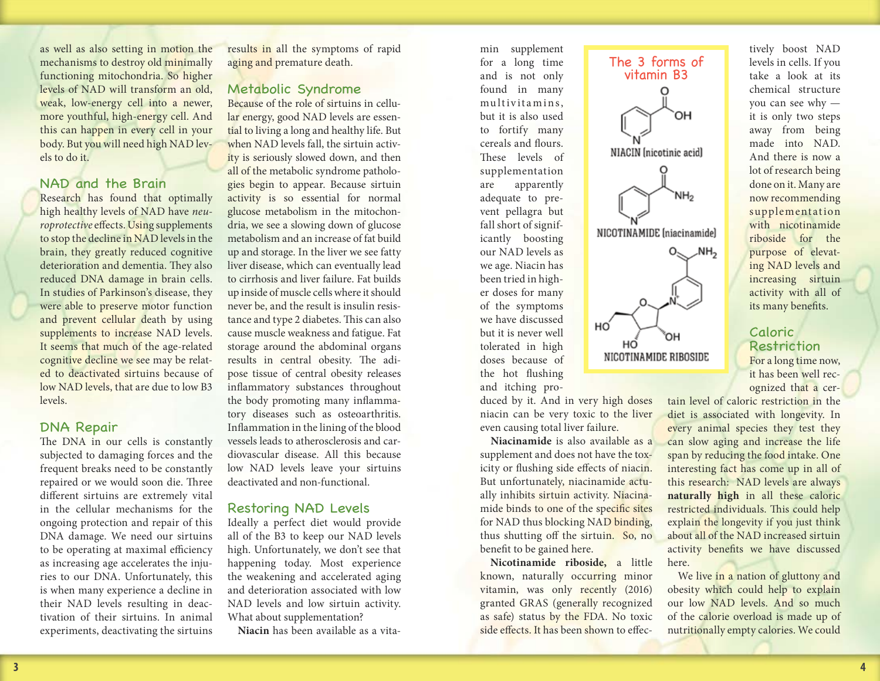as well as also setting in motion the mechanisms to destroy old minimally functioning mitochondria. So higher levels of NAD will transform an old, weak, low-energy cell into a newer, more youthful, high-energy cell. And this can happen in every cell in your body. But you will need high NAD levels to do it.

#### NAD and the Brain

Research has found that optimally high healthy levels of NAD have *neuroprotective* effects. Using supplements to stop the decline in NAD levels in the brain, they greatly reduced cognitive deterioration and dementia. They also reduced DNA damage in brain cells. In studies of Parkinson's disease, they were able to preserve motor function and prevent cellular death by using supplements to increase NAD levels. It seems that much of the age-related cognitive decline we see may be related to deactivated sirtuins because of low NAD levels, that are due to low B3 levels.

#### DNA Repair

The DNA in our cells is constantly subjected to damaging forces and the frequent breaks need to be constantly repaired or we would soon die. Three different sirtuins are extremely vital in the cellular mechanisms for the ongoing protection and repair of this DNA damage. We need our sirtuins to be operating at maximal efficiency as increasing age accelerates the injuries to our DNA. Unfortunately, this is when many experience a decline in their NAD levels resulting in deactivation of their sirtuins. In animal experiments, deactivating the sirtuins

results in all the symptoms of rapid aging and premature death.

#### Metabolic Syndrome

Because of the role of sirtuins in cellular energy, good NAD levels are essential to living a long and healthy life. But when NAD levels fall, the sirtuin activity is seriously slowed down, and then all of the metabolic syndrome pathologies begin to appear. Because sirtuin activity is so essential for normal glucose metabolism in the mitochondria, we see a slowing down of glucose metabolism and an increase of fat build up and storage. In the liver we see fatty liver disease, which can eventually lead to cirrhosis and liver failure. Fat builds up inside of muscle cells where it should never be, and the result is insulin resistance and type 2 diabetes. This can also cause muscle weakness and fatigue. Fat storage around the abdominal organs results in central obesity. The adipose tissue of central obesity releases inflammatory substances throughout the body promoting many inflammatory diseases such as osteoarthritis. Inflammation in the lining of the blood vessels leads to atherosclerosis and cardiovascular disease. All this because low NAD levels leave your sirtuins deactivated and non-functional.

#### Restoring NAD Levels

Ideally a perfect diet would provide all of the B3 to keep our NAD levels high. Unfortunately, we don't see that happening today. Most experience the weakening and accelerated aging and deterioration associated with low NAD levels and low sirtuin activity. What about supplementation?

**Niacin** has been available as a vita-

min supplement for a long time and is not only found in many multivitamins, but it is also used to fortify many cereals and flours. These levels of supplementation are apparently adequate to prevent pellagra but fall short of significantly boosting our NAD levels as we age. Niacin has been tried in higher doses for many of the symptoms we have discussed but it is never well tolerated in high doses because of the hot flushing and itching pro-

duced by it. And in very high doses niacin can be very toxic to the liver even causing total liver failure.

HO

HO

The 3 forms of vitamin B3O

NIACIN (nicotinic acid)

NICOTINAMIDE (niacinamide)

NICOTINAMIDE RIBOSIDE

OH

.NH<sub>2</sub>

**Niacinamide** is also available as a supplement and does not have the toxicity or flushing side effects of niacin. But unfortunately, niacinamide actually inhibits sirtuin activity. Niacinamide binds to one of the specific sites for NAD thus blocking NAD binding, thus shutting off the sirtuin. So, no benefit to be gained here.

**Nicotinamide riboside,** a little known, naturally occurring minor vitamin, was only recently (2016) granted GRAS (generally recognized as safe) status by the FDA. No toxic side effects. It has been shown to effec-

tively boost NAD levels in cells. If you take a look at its chemical structure you can see why it is only two steps away from being made into NAD. And there is now a lot of research being done on it. Many are now recommending supplementation with nicotinamide riboside for the purpose of elevating NAD levels and increasing sirtuin activity with all of its many benefits.

#### Caloric Restriction

For a long time now, it has been well recognized that a cer-

tain level of caloric restriction in the diet is associated with longevity. In every animal species they test they can slow aging and increase the life span by reducing the food intake. One interesting fact has come up in all of this research: NAD levels are always **naturally high** in all these caloric restricted individuals. This could help explain the longevity if you just think about all of the NAD increased sirtuin activity benefits we have discussed here.

We live in a nation of gluttony and obesity which could help to explain our low NAD levels. And so much of the calorie overload is made up of nutritionally empty calories. We could